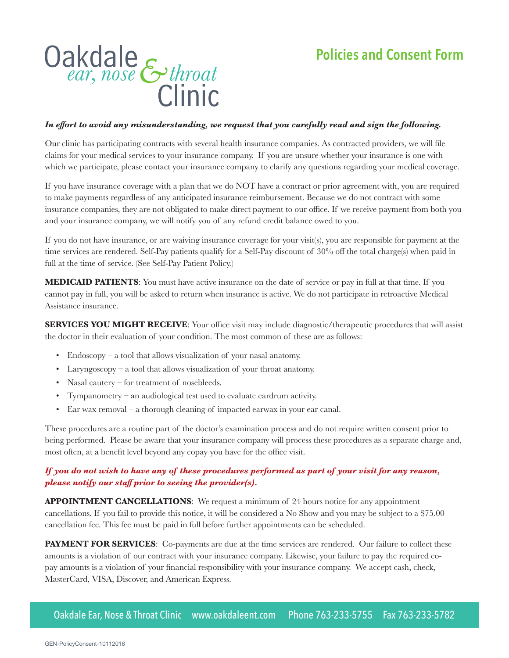

## *In effort to avoid any misunderstanding, we request that you carefully read and sign the following.*

Our clinic has participating contracts with several health insurance companies. As contracted providers, we will file claims for your medical services to your insurance company. If you are unsure whether your insurance is one with which we participate, please contact your insurance company to clarify any questions regarding your medical coverage.

If you have insurance coverage with a plan that we do NOT have a contract or prior agreement with, you are required to make payments regardless of any anticipated insurance reimbursement. Because we do not contract with some insurance companies, they are not obligated to make direct payment to our office. If we receive payment from both you and your insurance company, we will notify you of any refund credit balance owed to you.

If you do not have insurance, or are waiving insurance coverage for your visit(s), you are responsible for payment at the time services are rendered. Self-Pay patients qualify for a Self-Pay discount of 30% off the total charge(s) when paid in full at the time of service. (See Self-Pay Patient Policy.)

**MEDICAID PATIENTS**: You must have active insurance on the date of service or pay in full at that time. If you cannot pay in full, you will be asked to return when insurance is active. We do not participate in retroactive Medical Assistance insurance.

**SERVICES YOU MIGHT RECEIVE:** Your office visit may include diagnostic/therapeutic procedures that will assist the doctor in their evaluation of your condition. The most common of these are as follows:

- Endoscopy a tool that allows visualization of your nasal anatomy.
- Laryngoscopy a tool that allows visualization of your throat anatomy.
- Nasal cautery for treatment of nosebleeds.
- Tympanometry an audiological test used to evaluate eardrum activity.
- Ear wax removal a thorough cleaning of impacted earwax in your ear canal.

These procedures are a routine part of the doctor's examination process and do not require written consent prior to being performed. Please be aware that your insurance company will process these procedures as a separate charge and, most often, at a benefit level beyond any copay you have for the office visit.

## *If you do not wish to have any of these procedures performed as part of your visit for any reason, please notify our staff prior to seeing the provider(s).*

**APPOINTMENT CANCELLATIONS**: We request a minimum of 24 hours notice for any appointment cancellations. If you fail to provide this notice, it will be considered a No Show and you may be subject to a \$75.00 cancellation fee. This fee must be paid in full before further appointments can be scheduled.

**PAYMENT FOR SERVICES:** Co-payments are due at the time services are rendered. Our failure to collect these amounts is a violation of our contract with your insurance company. Likewise, your failure to pay the required copay amounts is a violation of your financial responsibility with your insurance company. We accept cash, check, MasterCard, VISA, Discover, and American Express.

Oakdale Ear, Nose & Throat Clinic www.oakdaleent.com Phone 763-233-5755 Fax 763-233-5782